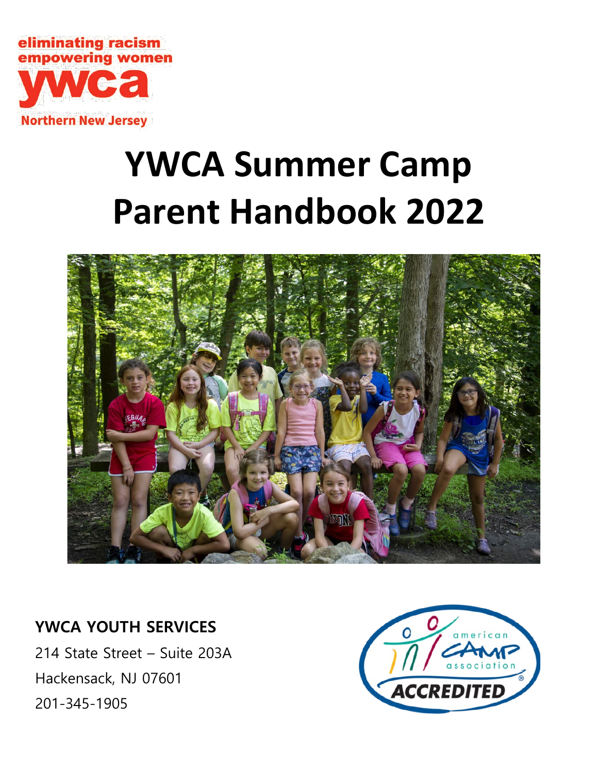

# **YWCA Summer Camp Parent Handbook 2022**



# **YWCA YOUTH SERVICES**

214 State Street – Suite 203A Hackensack, NJ 07601 201-345-1905

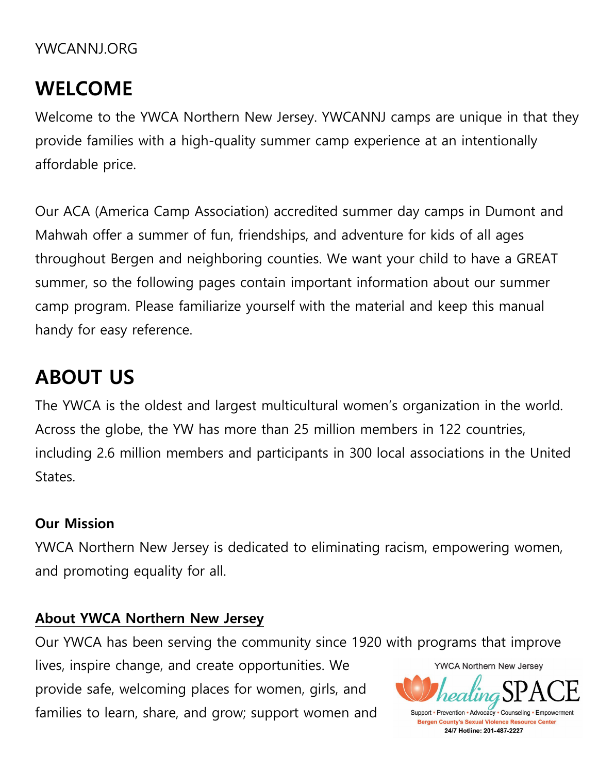# YWCANNJ.ORG

# **WELCOME**

Welcome to the YWCA Northern New Jersey. YWCANNJ camps are unique in that they provide families with a high-quality summer camp experience at an intentionally affordable price.

Our ACA (America Camp Association) accredited summer day camps in Dumont and Mahwah offer a summer of fun, friendships, and adventure for kids of all ages throughout Bergen and neighboring counties. We want your child to have a GREAT summer, so the following pages contain important information about our summer camp program. Please familiarize yourself with the material and keep this manual handy for easy reference.

# **ABOUT US**

The YWCA is the oldest and largest multicultural women's organization in the world. Across the globe, the YW has more than 25 million members in 122 countries, including 2.6 million members and participants in 300 local associations in the United States.

# **Our Mission**

YWCA Northern New Jersey is dedicated to eliminating racism, empowering women, and promoting equality for all.

# **About YWCA Northern New Jersey**

Our YWCA has been serving the community since 1920 with programs that improve

lives, inspire change, and create opportunities. We provide safe, welcoming places for women, girls, and families to learn, share, and grow; support women and



**Bergen County's Sexual Violence Resource Center** 24/7 Hotline: 201-487-2227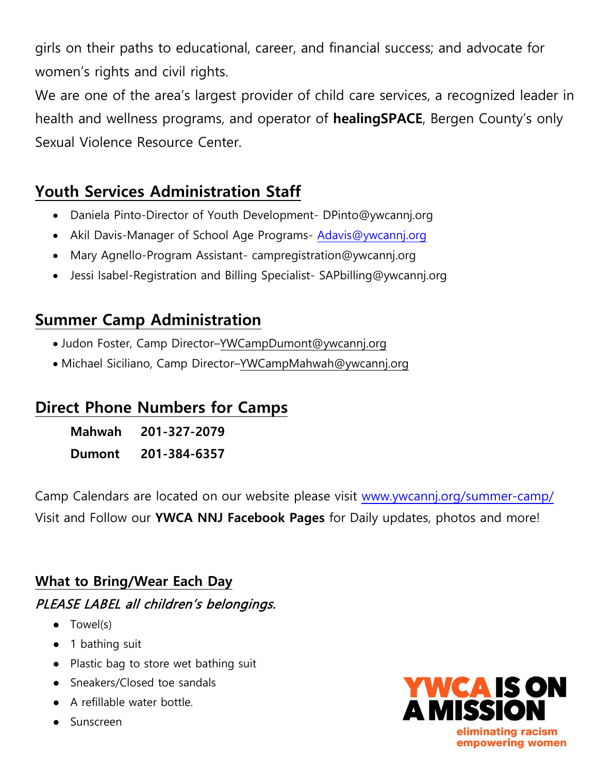girls on their paths to educational, career, and financial success; and advocate for women's rights and civil rights.

We are one of the area's largest provider of child care services, a recognized leader in health and wellness programs, and operator of **healingSPACE**, Bergen County's only Sexual Violence Resource Center.

# **Youth Services Administration Staff**

- Daniela Pinto-Director of Youth Development- [DPinto@ywcannj.org](mailto:DPinto@ywcannj.org)
- Akil Davis-Manager of School Age Programs- [Adavis@ywcannj.org](mailto:Adavis@ywcannj.org)
- Mary Agnello-Program Assistant- [campregistration@ywcannj.org](mailto:campregisration@ywcannj.org)
- Jessi Isabel-Registration and Billing Specialist- [SAPbilling@ywcannj.org](mailto:SAPbilling@ywcannj.org)

# **Summer Camp Administration**

- Judon Foster, Camp Director[–YWCampDumont@ywcannj.org](mailto:YWCampDumont@ywcannj.org)
- Michael Siciliano, Camp Director[–YWCampMahwah@ywcannj.org](mailto:YWCampMahwah@ywcannj.org)

# **Direct Phone Numbers for Camps**

**Mahwah 201-327-2079 Dumont 201-384-6357**

Camp Calendars are located on our website please visit [www.ywcannj.org/summer-camp/](http://www.ywcannj.org/summer-camp/)  Visit and Follow our **YWCA NNJ Facebook Pages** for Daily updates, photos and more!

# **What to Bring/Wear Each Day** PLEASE LABEL all children's belongings.

- Towel(s)
- 1 bathing suit
- Plastic bag to store wet bathing suit
- Sneakers/Closed toe sandals
- A refillable water bottle.
- **Sunscreen**

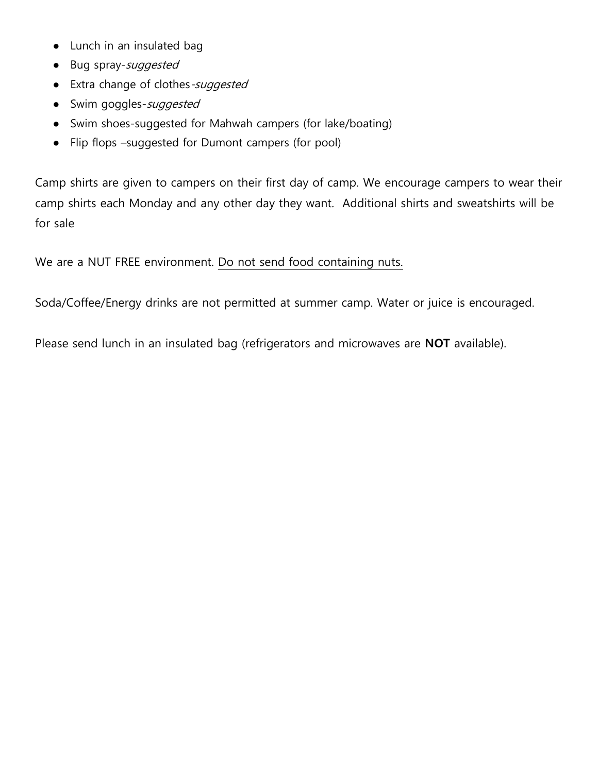- Lunch in an insulated bag
- Bug spray-suggested
- Extra change of clothes-suggested
- Swim goggles-suggested
- Swim shoes-suggested for Mahwah campers (for lake/boating)
- Flip flops –suggested for Dumont campers (for pool)

Camp shirts are given to campers on their first day of camp. We encourage campers to wear their camp shirts each Monday and any other day they want. Additional shirts and sweatshirts will be for sale

We are a NUT FREE environment. Do not send food containing nuts.

Soda/Coffee/Energy drinks are not permitted at summer camp. Water or juice is encouraged.

Please send lunch in an insulated bag (refrigerators and microwaves are **NOT** available).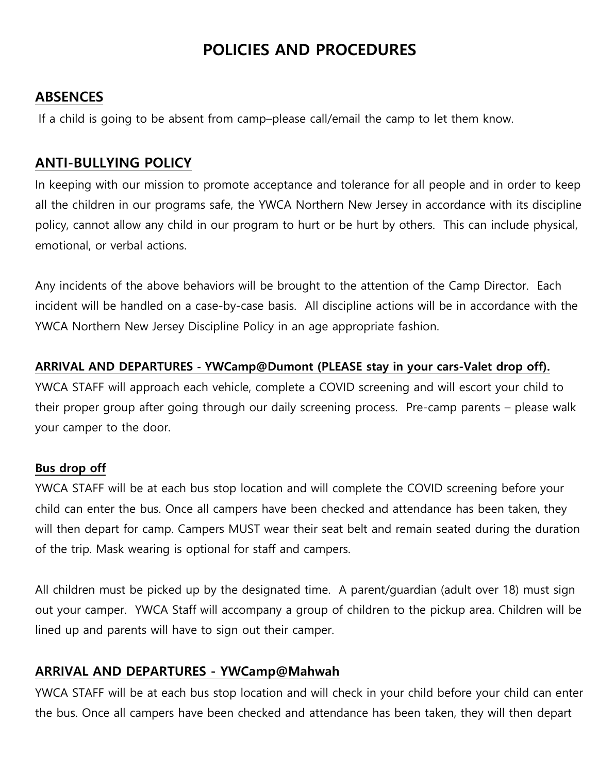# **POLICIES AND PROCEDURES**

#### **ABSENCES**

If a child is going to be absent from camp–please call/email the camp to let them know.

# **ANTI-BULLYING POLICY**

In keeping with our mission to promote acceptance and tolerance for all people and in order to keep all the children in our programs safe, the YWCA Northern New Jersey in accordance with its discipline policy, cannot allow any child in our program to hurt or be hurt by others. This can include physical, emotional, or verbal actions.

Any incidents of the above behaviors will be brought to the attention of the Camp Director. Each incident will be handled on a case-by-case basis. All discipline actions will be in accordance with the YWCA Northern New Jersey Discipline Policy in an age appropriate fashion.

#### **ARRIVAL AND DEPARTURES - YWCamp@Dumont (PLEASE stay in your cars-Valet drop off).**

YWCA STAFF will approach each vehicle, complete a COVID screening and will escort your child to their proper group after going through our daily screening process. Pre-camp parents – please walk your camper to the door.

#### **Bus drop off**

YWCA STAFF will be at each bus stop location and will complete the COVID screening before your child can enter the bus. Once all campers have been checked and attendance has been taken, they will then depart for camp. Campers MUST wear their seat belt and remain seated during the duration of the trip. Mask wearing is optional for staff and campers.

All children must be picked up by the designated time. A parent/guardian (adult over 18) must sign out your camper. YWCA Staff will accompany a group of children to the pickup area. Children will be lined up and parents will have to sign out their camper.

## **ARRIVAL AND DEPARTURES - YWCamp@Mahwah**

YWCA STAFF will be at each bus stop location and will check in your child before your child can enter the bus. Once all campers have been checked and attendance has been taken, they will then depart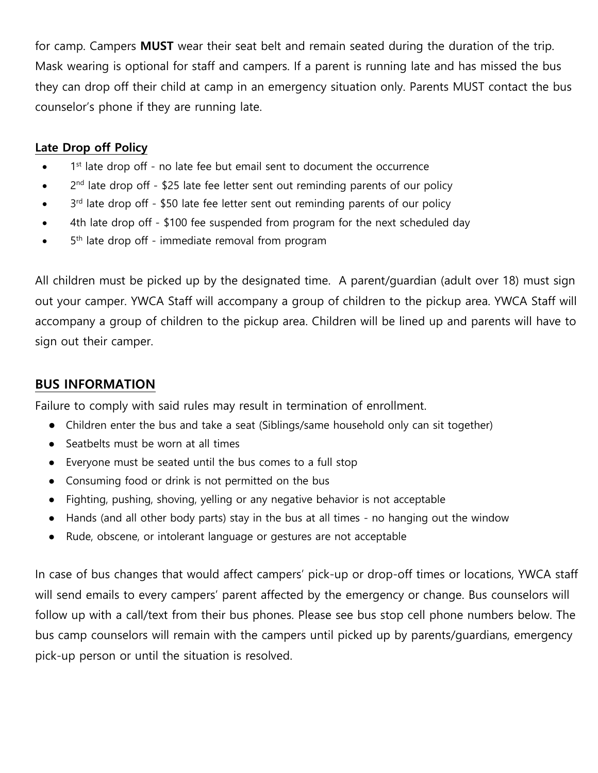for camp. Campers **MUST** wear their seat belt and remain seated during the duration of the trip. Mask wearing is optional for staff and campers. If a parent is running late and has missed the bus they can drop off their child at camp in an emergency situation only. Parents MUST contact the bus counselor's phone if they are running late.

#### **Late Drop off Policy**

- 1<sup>st</sup> late drop off no late fee but email sent to document the occurrence
- $\bullet$  2<sup>nd</sup> late drop off \$25 late fee letter sent out reminding parents of our policy
- 3<sup>rd</sup> late drop off \$50 late fee letter sent out reminding parents of our policy
- 4th late drop off \$100 fee suspended from program for the next scheduled day
- $\bullet$  5<sup>th</sup> late drop off immediate removal from program

All children must be picked up by the designated time. A parent/guardian (adult over 18) must sign out your camper. YWCA Staff will accompany a group of children to the pickup area. YWCA Staff will accompany a group of children to the pickup area. Children will be lined up and parents will have to sign out their camper.

#### **BUS INFORMATION**

Failure to comply with said rules may result in termination of enrollment.

- Children enter the bus and take a seat (Siblings/same household only can sit together)
- Seatbelts must be worn at all times
- Everyone must be seated until the bus comes to a full stop
- Consuming food or drink is not permitted on the bus
- Fighting, pushing, shoving, yelling or any negative behavior is not acceptable
- Hands (and all other body parts) stay in the bus at all times no hanging out the window
- Rude, obscene, or intolerant language or gestures are not acceptable

In case of bus changes that would affect campers' pick-up or drop-off times or locations, YWCA staff will send emails to every campers' parent affected by the emergency or change. Bus counselors will follow up with a call/text from their bus phones. Please see bus stop cell phone numbers below. The bus camp counselors will remain with the campers until picked up by parents/guardians, emergency pick-up person or until the situation is resolved.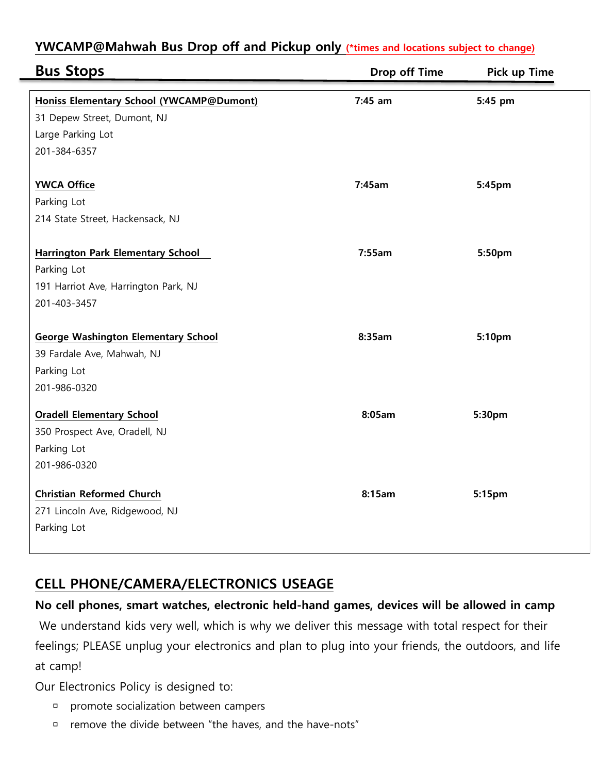| <b>Bus Stops</b>                                                                                                | Drop off Time | Pick up Time |
|-----------------------------------------------------------------------------------------------------------------|---------------|--------------|
| Honiss Elementary School (YWCAMP@Dumont)<br>31 Depew Street, Dumont, NJ<br>Large Parking Lot<br>201-384-6357    | $7:45$ am     | 5:45 pm      |
| <b>YWCA Office</b><br>Parking Lot<br>214 State Street, Hackensack, NJ                                           | 7:45am        | 5:45pm       |
| <b>Harrington Park Elementary School</b><br>Parking Lot<br>191 Harriot Ave, Harrington Park, NJ<br>201-403-3457 | 7:55am        | 5:50pm       |
| <b>George Washington Elementary School</b><br>39 Fardale Ave, Mahwah, NJ<br>Parking Lot<br>201-986-0320         | 8:35am        | 5:10pm       |
| <b>Oradell Elementary School</b><br>350 Prospect Ave, Oradell, NJ<br>Parking Lot<br>201-986-0320                | 8:05am        | 5:30pm       |
| <b>Christian Reformed Church</b><br>271 Lincoln Ave, Ridgewood, NJ<br>Parking Lot                               | 8:15am        | 5:15pm       |

## **YWCAMP@Mahwah Bus Drop off and Pickup only (\*times and locations subject to change)**

# **CELL PHONE/CAMERA/ELECTRONICS USEAGE**

**No cell phones, smart watches, electronic held-hand games, devices will be allowed in camp** We understand kids very well, which is why we deliver this message with total respect for their feelings; PLEASE unplug your electronics and plan to plug into your friends, the outdoors, and life at camp!

Our Electronics Policy is designed to:

- promote socialization between campers
- remove the divide between "the haves, and the have-nots"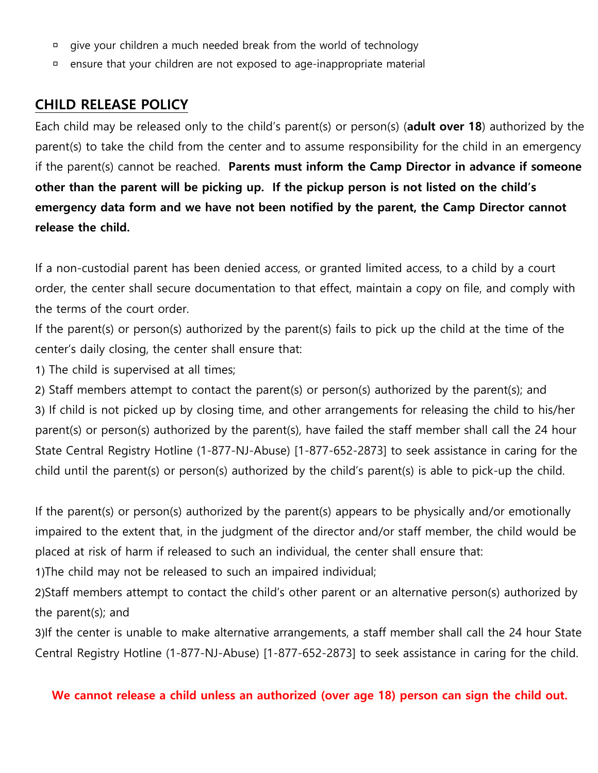- give your children a much needed break from the world of technology
- ensure that your children are not exposed to age-inappropriate material

#### **CHILD RELEASE POLICY**

Each child may be released only to the child's parent(s) or person(s) (**adult over 18**) authorized by the parent(s) to take the child from the center and to assume responsibility for the child in an emergency if the parent(s) cannot be reached. **Parents must inform the Camp Director in advance if someone other than the parent will be picking up. If the pickup person is not listed on the child's emergency data form and we have not been notified by the parent, the Camp Director cannot release the child.** 

If a non-custodial parent has been denied access, or granted limited access, to a child by a court order, the center shall secure documentation to that effect, maintain a copy on file, and comply with the terms of the court order.

If the parent(s) or person(s) authorized by the parent(s) fails to pick up the child at the time of the center's daily closing, the center shall ensure that:

1) The child is supervised at all times;

2) Staff members attempt to contact the parent(s) or person(s) authorized by the parent(s); and 3) If child is not picked up by closing time, and other arrangements for releasing the child to his/her parent(s) or person(s) authorized by the parent(s), have failed the staff member shall call the 24 hour State Central Registry Hotline (1-877-NJ-Abuse) [1-877-652-2873] to seek assistance in caring for the child until the parent(s) or person(s) authorized by the child's parent(s) is able to pick-up the child.

If the parent(s) or person(s) authorized by the parent(s) appears to be physically and/or emotionally impaired to the extent that, in the judgment of the director and/or staff member, the child would be placed at risk of harm if released to such an individual, the center shall ensure that:

1)The child may not be released to such an impaired individual;

2)Staff members attempt to contact the child's other parent or an alternative person(s) authorized by the parent(s); and

3)If the center is unable to make alternative arrangements, a staff member shall call the 24 hour State Central Registry Hotline (1-877-NJ-Abuse) [1-877-652-2873] to seek assistance in caring for the child.

#### **We cannot release a child unless an authorized (over age 18) person can sign the child out.**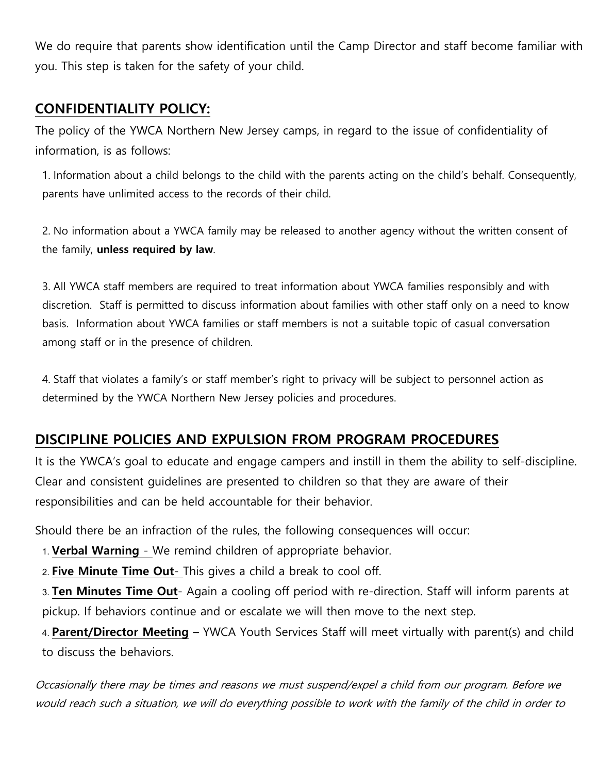We do require that parents show identification until the Camp Director and staff become familiar with you. This step is taken for the safety of your child.

## **CONFIDENTIALITY POLICY:**

The policy of the YWCA Northern New Jersey camps, in regard to the issue of confidentiality of information, is as follows:

1. Information about a child belongs to the child with the parents acting on the child's behalf. Consequently, parents have unlimited access to the records of their child.

2. No information about a YWCA family may be released to another agency without the written consent of the family, **unless required by law**.

3. All YWCA staff members are required to treat information about YWCA families responsibly and with discretion. Staff is permitted to discuss information about families with other staff only on a need to know basis. Information about YWCA families or staff members is not a suitable topic of casual conversation among staff or in the presence of children.

4. Staff that violates a family's or staff member's right to privacy will be subject to personnel action as determined by the YWCA Northern New Jersey policies and procedures.

# **DISCIPLINE POLICIES AND EXPULSION FROM PROGRAM PROCEDURES**

It is the YWCA's goal to educate and engage campers and instill in them the ability to self-discipline. Clear and consistent guidelines are presented to children so that they are aware of their responsibilities and can be held accountable for their behavior.

Should there be an infraction of the rules, the following consequences will occur:

1. **Verbal Warning** - We remind children of appropriate behavior.

2. **Five Minute Time Out**- This gives a child a break to cool off.

3. **Ten Minutes Time Out**- Again a cooling off period with re-direction. Staff will inform parents at pickup. If behaviors continue and or escalate we will then move to the next step.

4. **Parent/Director Meeting** – YWCA Youth Services Staff will meet virtually with parent(s) and child to discuss the behaviors.

Occasionally there may be times and reasons we must suspend/expel a child from our program. Before we would reach such a situation, we will do everything possible to work with the family of the child in order to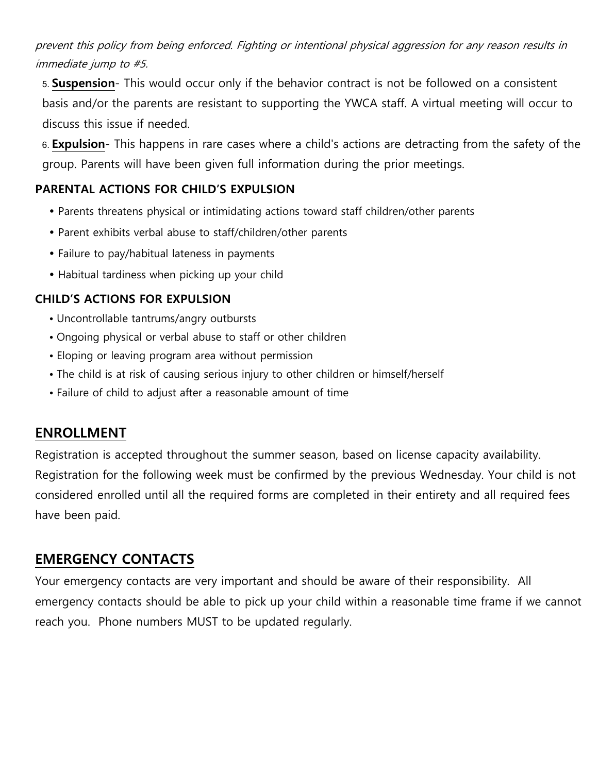## prevent this policy from being enforced. Fighting or intentional physical aggression for any reason results in immediate jump to #5.

5. **Suspension**- This would occur only if the behavior contract is not be followed on a consistent basis and/or the parents are resistant to supporting the YWCA staff. A virtual meeting will occur to discuss this issue if needed.

6. **Expulsion**- This happens in rare cases where a child's actions are detracting from the safety of the group. Parents will have been given full information during the prior meetings.

#### **PARENTAL ACTIONS FOR CHILD'S EXPULSION**

- Parents threatens physical or intimidating actions toward staff children/other parents
- Parent exhibits verbal abuse to staff/children/other parents
- Failure to pay/habitual lateness in payments
- Habitual tardiness when picking up your child

#### **CHILD'S ACTIONS FOR EXPULSION**

- Uncontrollable tantrums/angry outbursts
- Ongoing physical or verbal abuse to staff or other children
- Eloping or leaving program area without permission
- The child is at risk of causing serious injury to other children or himself/herself
- Failure of child to adjust after a reasonable amount of time

#### **ENROLLMENT**

Registration is accepted throughout the summer season, based on license capacity availability. Registration for the following week must be confirmed by the previous Wednesday. Your child is not considered enrolled until all the required forms are completed in their entirety and all required fees have been paid.

## **EMERGENCY CONTACTS**

Your emergency contacts are very important and should be aware of their responsibility. All emergency contacts should be able to pick up your child within a reasonable time frame if we cannot reach you. Phone numbers MUST to be updated regularly.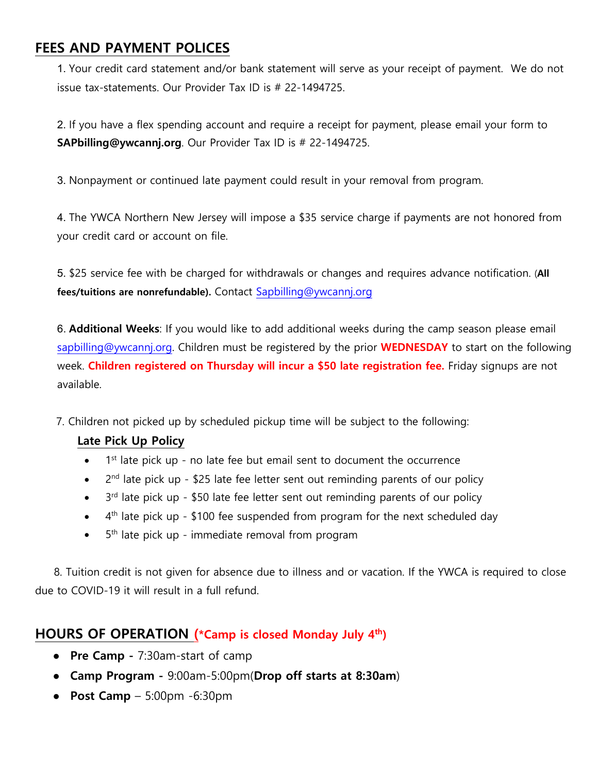## **FEES AND PAYMENT POLICES**

1. Your credit card statement and/or bank statement will serve as your receipt of payment. We do not issue tax-statements. Our Provider Tax ID is # 22-1494725.

2. If you have a flex spending account and require a receipt for payment, please email your form to **SAPbilling@ywcannj.org**. Our Provider Tax ID is # 22-1494725.

3. Nonpayment or continued late payment could result in your removal from program.

4. The YWCA Northern New Jersey will impose a \$35 service charge if payments are not honored from your credit card or account on file.

5. \$25 service fee with be charged for withdrawals or changes and requires advance notification. (**All fees/tuitions are nonrefundable).** Contact [Sapbilling@ywcannj.org](mailto:Sapbilling@ywcannj.org)

6. **Additional Weeks**: If you would like to add additional weeks during the camp season please email [sapbilling@ywcannj.org.](mailto:sapbilling@ywcannj.org) Children must be registered by the prior **WEDNESDAY** to start on the following week. **Children registered on Thursday will incur a \$50 late registration fee.** Friday signups are not available.

7. Children not picked up by scheduled pickup time will be subject to the following:

#### **Late Pick Up Policy**

- $1<sup>st</sup>$  late pick up no late fee but email sent to document the occurrence
- 2<sup>nd</sup> late pick up \$25 late fee letter sent out reminding parents of our policy
- $3<sup>rd</sup>$  late pick up \$50 late fee letter sent out reminding parents of our policy
- $\bullet$  4<sup>th</sup> late pick up \$100 fee suspended from program for the next scheduled day
- $\bullet$  5<sup>th</sup> late pick up immediate removal from program

 8. Tuition credit is not given for absence due to illness and or vacation. If the YWCA is required to close due to COVID-19 it will result in a full refund.

#### **HOURS OF OPERATION (\*Camp is closed Monday July 4th)**

- **Pre Camp** 7:30am-start of camp
- **Camp Program** 9:00am-5:00pm(**Drop off starts at 8:30am**)
- **Post Camp**  5:00pm -6:30pm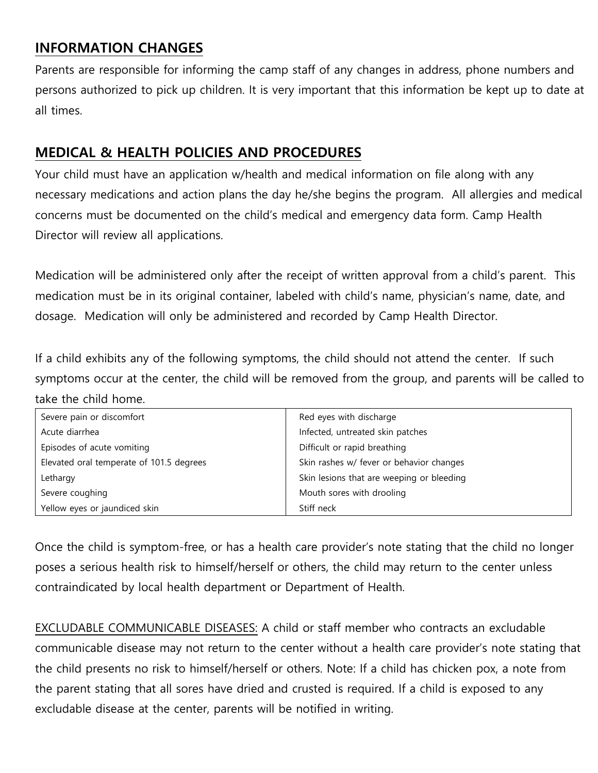# **INFORMATION CHANGES**

Parents are responsible for informing the camp staff of any changes in address, phone numbers and persons authorized to pick up children. It is very important that this information be kept up to date at all times.

## **MEDICAL & HEALTH POLICIES AND PROCEDURES**

Your child must have an application w/health and medical information on file along with any necessary medications and action plans the day he/she begins the program. All allergies and medical concerns must be documented on the child's medical and emergency data form. Camp Health Director will review all applications.

Medication will be administered only after the receipt of written approval from a child's parent. This medication must be in its original container, labeled with child's name, physician's name, date, and dosage. Medication will only be administered and recorded by Camp Health Director.

If a child exhibits any of the following symptoms, the child should not attend the center. If such symptoms occur at the center, the child will be removed from the group, and parents will be called to take the child home.

| Severe pain or discomfort                | Red eyes with discharge                   |
|------------------------------------------|-------------------------------------------|
| Acute diarrhea                           | Infected, untreated skin patches          |
| Episodes of acute vomiting               | Difficult or rapid breathing              |
| Elevated oral temperate of 101.5 degrees | Skin rashes w/ fever or behavior changes  |
| Lethargy                                 | Skin lesions that are weeping or bleeding |
| Severe coughing                          | Mouth sores with drooling                 |
| Yellow eyes or jaundiced skin            | Stiff neck                                |

Once the child is symptom-free, or has a health care provider's note stating that the child no longer poses a serious health risk to himself/herself or others, the child may return to the center unless contraindicated by local health department or Department of Health.

EXCLUDABLE COMMUNICABLE DISEASES: A child or staff member who contracts an excludable communicable disease may not return to the center without a health care provider's note stating that the child presents no risk to himself/herself or others. Note: If a child has chicken pox, a note from the parent stating that all sores have dried and crusted is required. If a child is exposed to any excludable disease at the center, parents will be notified in writing.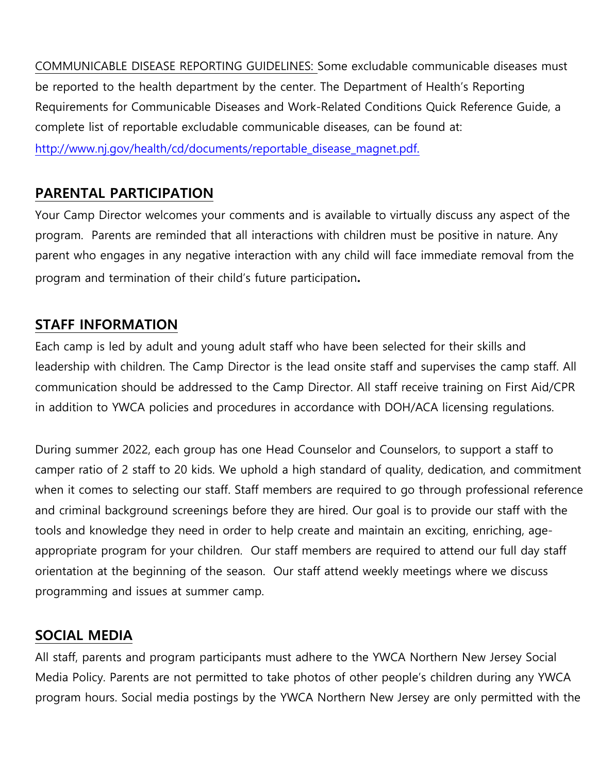COMMUNICABLE DISEASE REPORTING GUIDELINES: Some excludable communicable diseases must be reported to the health department by the center. The Department of Health's Reporting Requirements for Communicable Diseases and Work-Related Conditions Quick Reference Guide, a complete list of reportable excludable communicable diseases, can be found at:

http://www.nj.gov/health/cd/documents/reportable\_disease\_magnet.pdf.

# **PARENTAL PARTICIPATION**

Your Camp Director welcomes your comments and is available to virtually discuss any aspect of the program. Parents are reminded that all interactions with children must be positive in nature. Any parent who engages in any negative interaction with any child will face immediate removal from the program and termination of their child's future participation**.** 

# **STAFF INFORMATION**

Each camp is led by adult and young adult staff who have been selected for their skills and leadership with children. The Camp Director is the lead onsite staff and supervises the camp staff. All communication should be addressed to the Camp Director. All staff receive training on First Aid/CPR in addition to YWCA policies and procedures in accordance with DOH/ACA licensing regulations.

During summer 2022, each group has one Head Counselor and Counselors, to support a staff to camper ratio of 2 staff to 20 kids. We uphold a high standard of quality, dedication, and commitment when it comes to selecting our staff. Staff members are required to go through professional reference and criminal background screenings before they are hired. Our goal is to provide our staff with the tools and knowledge they need in order to help create and maintain an exciting, enriching, ageappropriate program for your children. Our staff members are required to attend our full day staff orientation at the beginning of the season. Our staff attend weekly meetings where we discuss programming and issues at summer camp.

## **SOCIAL MEDIA**

All staff, parents and program participants must adhere to the YWCA Northern New Jersey Social Media Policy. Parents are not permitted to take photos of other people's children during any YWCA program hours. Social media postings by the YWCA Northern New Jersey are only permitted with the